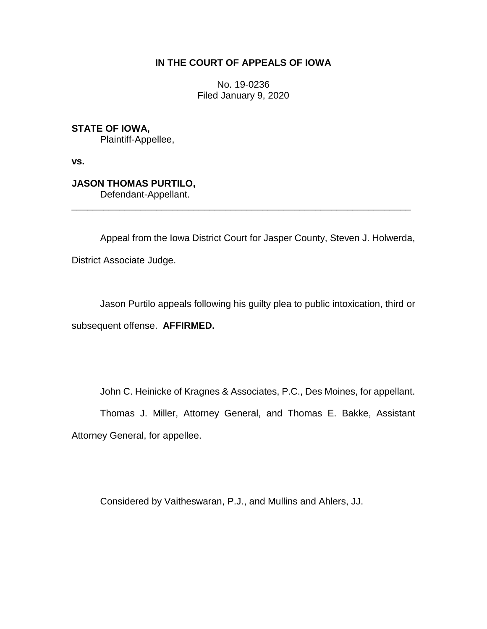## **IN THE COURT OF APPEALS OF IOWA**

No. 19-0236 Filed January 9, 2020

**STATE OF IOWA,**

Plaintiff-Appellee,

**vs.**

**JASON THOMAS PURTILO,** Defendant-Appellant.

\_\_\_\_\_\_\_\_\_\_\_\_\_\_\_\_\_\_\_\_\_\_\_\_\_\_\_\_\_\_\_\_\_\_\_\_\_\_\_\_\_\_\_\_\_\_\_\_\_\_\_\_\_\_\_\_\_\_\_\_\_\_\_\_

Appeal from the Iowa District Court for Jasper County, Steven J. Holwerda, District Associate Judge.

Jason Purtilo appeals following his guilty plea to public intoxication, third or subsequent offense. **AFFIRMED.**

John C. Heinicke of Kragnes & Associates, P.C., Des Moines, for appellant.

Thomas J. Miller, Attorney General, and Thomas E. Bakke, Assistant Attorney General, for appellee.

Considered by Vaitheswaran, P.J., and Mullins and Ahlers, JJ.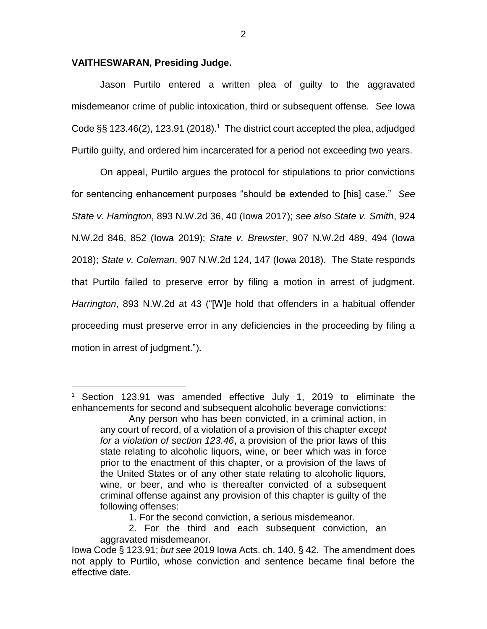## **VAITHESWARAN, Presiding Judge.**

 $\overline{a}$ 

Jason Purtilo entered a written plea of guilty to the aggravated misdemeanor crime of public intoxication, third or subsequent offense. *See* Iowa Code  $\S$ § 123.46(2), 123.91 (2018).<sup>1</sup> The district court accepted the plea, adjudged Purtilo guilty, and ordered him incarcerated for a period not exceeding two years.

On appeal, Purtilo argues the protocol for stipulations to prior convictions for sentencing enhancement purposes "should be extended to [his] case." *See State v. Harrington*, 893 N.W.2d 36, 40 (Iowa 2017); *see also State v. Smith*, 924 N.W.2d 846, 852 (Iowa 2019); *State v. Brewster*, 907 N.W.2d 489, 494 (Iowa 2018); *State v. Coleman*, 907 N.W.2d 124, 147 (Iowa 2018). The State responds that Purtilo failed to preserve error by filing a motion in arrest of judgment. *Harrington*, 893 N.W.2d at 43 ("[W]e hold that offenders in a habitual offender proceeding must preserve error in any deficiencies in the proceeding by filing a motion in arrest of judgment.").

<sup>&</sup>lt;sup>1</sup> Section 123.91 was amended effective July 1, 2019 to eliminate the enhancements for second and subsequent alcoholic beverage convictions:

Any person who has been convicted, in a criminal action, in any court of record, of a violation of a provision of this chapter *except for a violation of section 123.46*, a provision of the prior laws of this state relating to alcoholic liquors, wine, or beer which was in force prior to the enactment of this chapter, or a provision of the laws of the United States or of any other state relating to alcoholic liquors, wine, or beer, and who is thereafter convicted of a subsequent criminal offense against any provision of this chapter is guilty of the following offenses:

<sup>1.</sup> For the second conviction, a serious misdemeanor.

<sup>2.</sup> For the third and each subsequent conviction, an aggravated misdemeanor.

Iowa Code § 123.91; *but see* 2019 Iowa Acts. ch. 140, § 42. The amendment does not apply to Purtilo, whose conviction and sentence became final before the effective date.